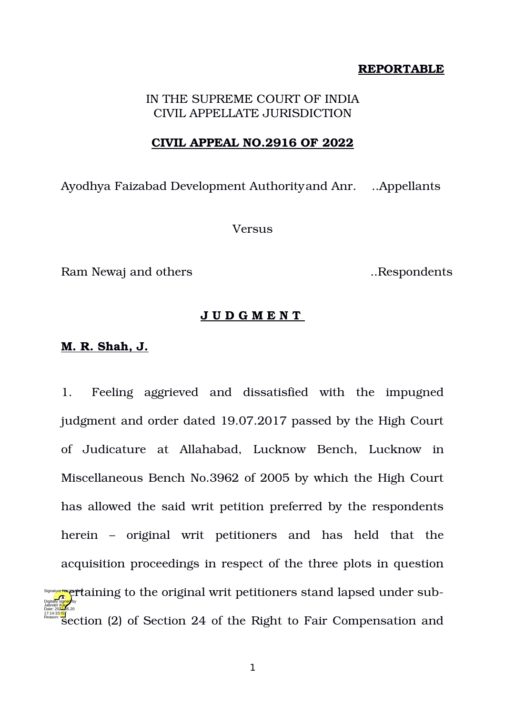## **REPORTABLE**

# IN THE SUPREME COURT OF INDIA CIVIL APPELLATE JURISDICTION

#### **CIVIL APPEAL NO.2916 OF 2022**

Ayodhya Faizabad Development Authorityand Anr. ..Appellants

Versus

Ram Newaj and others *Ram* Newaj and others *Respondents* 

## **J U D G M E N T**

### **M. R. Shah, J.**

1. Feeling aggrieved and dissatisfied with the impugned judgment and order dated 19.07.2017 passed by the High Court of Judicature at Allahabad, Lucknow Bench, Lucknow in Miscellaneous Bench No.3962 of 2005 by which the High Court has allowed the said writ petition preferred by the respondents herein – original writ petitioners and has held that the acquisition proceedings in respect of the three plots in question  $\frac{d\sigma_{\text{obs}}}{d\sigma_{\text{obs}}}$  (if taining to the original writ petitioners stand lapsed under sub-**RE44:33<mark>19</mark>**<br>Reason Section (2) of Section 24 of the Right to Fair Compensation and Jatinder Kaur Date: 2022.05.20 Reason: Signature Not Yerriet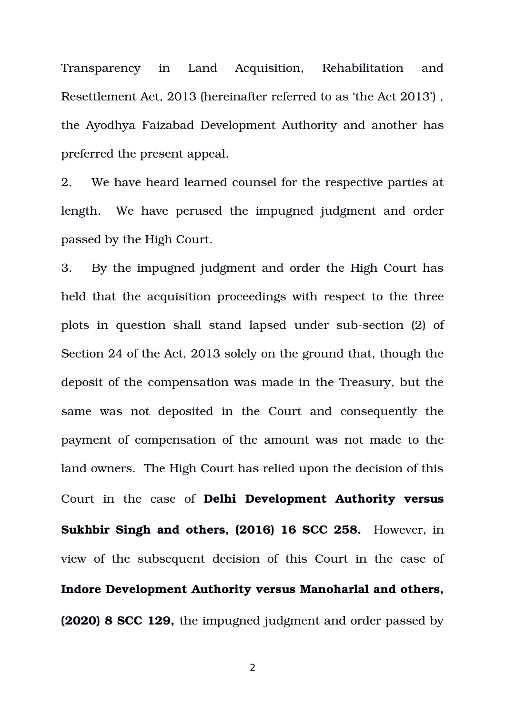Transparency in Land Acquisition, Rehabilitation and Resettlement Act, 2013 (hereinafter referred to as 'the Act 2013') , the Ayodhya Faizabad Development Authority and another has preferred the present appeal.

2. We have heard learned counsel for the respective parties at length. We have perused the impugned judgment and order passed by the High Court.

3. By the impugned judgment and order the High Court has held that the acquisition proceedings with respect to the three plots in question shall stand lapsed under sub-section (2) of Section 24 of the Act, 2013 solely on the ground that, though the deposit of the compensation was made in the Treasury, but the same was not deposited in the Court and consequently the payment of compensation of the amount was not made to the land owners. The High Court has relied upon the decision of this Court in the case of **Delhi Development Authority versus Sukhbir Singh and others, (2016) 16 SCC 258.** However, in view of the subsequent decision of this Court in the case of **Indore Development Authority versus Manoharlal and others, (2020) 8 SCC 129,** the impugned judgment and order passed by

2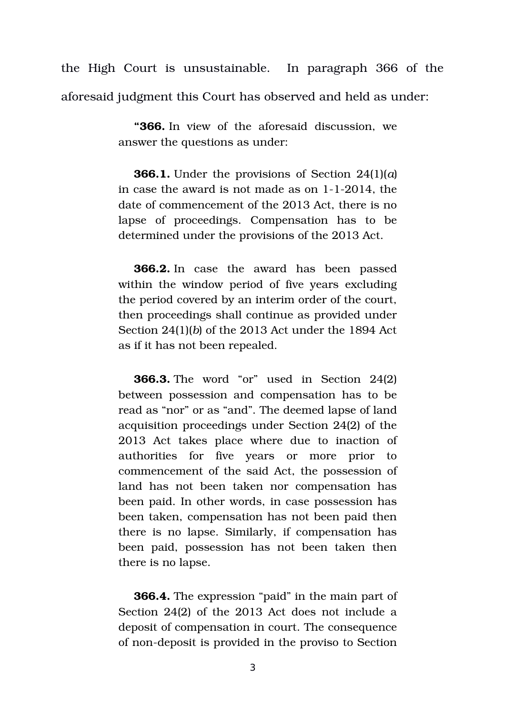the High Court is unsustainable. In paragraph 366 of the aforesaid judgment this Court has observed and held as under:

> **"366.** In view of the aforesaid discussion, we answer the questions as under:

> **366.1.** Under the provisions of Section 24(1)(*a*) in case the award is not made as on  $1-1-2014$ , the date of commencement of the 2013 Act, there is no lapse of proceedings. Compensation has to be determined under the provisions of the 2013 Act.

> **366.2.** In case the award has been passed within the window period of five years excluding the period covered by an interim order of the court, then proceedings shall continue as provided under Section 24(1)(*b*) of the 2013 Act under the 1894 Act as if it has not been repealed.

> **366.3.** The word "or" used in Section 24(2) between possession and compensation has to be read as "nor" or as "and". The deemed lapse of land acquisition proceedings under Section 24(2) of the 2013 Act takes place where due to inaction of authorities for five years or more prior to commencement of the said Act, the possession of land has not been taken nor compensation has been paid. In other words, in case possession has been taken, compensation has not been paid then there is no lapse. Similarly, if compensation has been paid, possession has not been taken then there is no lapse.

> **366.4.** The expression "paid" in the main part of Section 24(2) of the 2013 Act does not include a deposit of compensation in court. The consequence of non-deposit is provided in the proviso to Section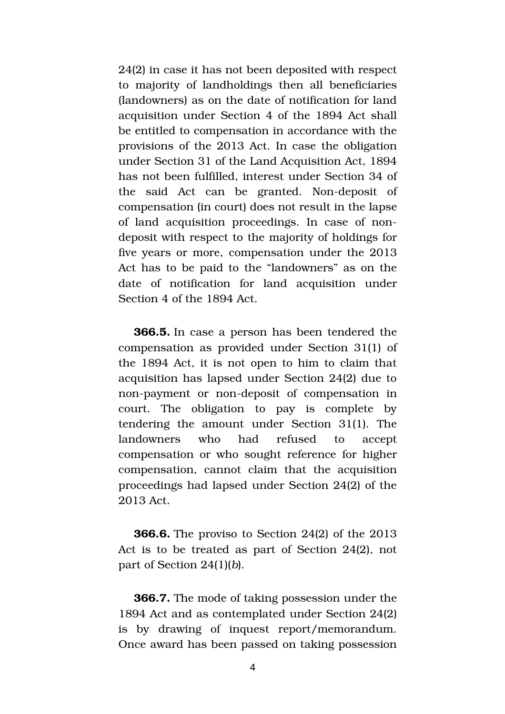24(2) in case it has not been deposited with respect to majority of landholdings then all beneficiaries (landowners) as on the date of notification for land acquisition under Section 4 of the 1894 Act shall be entitled to compensation in accordance with the provisions of the 2013 Act. In case the obligation under Section 31 of the Land Acquisition Act, 1894 has not been fulfilled, interest under Section 34 of the said Act can be granted. Non-deposit of compensation (in court) does not result in the lapse of land acquisition proceedings. In case of nondeposit with respect to the majority of holdings for five years or more, compensation under the 2013 Act has to be paid to the "landowners" as on the date of notification for land acquisition under Section 4 of the 1894 Act.

**366.5.** In case a person has been tendered the compensation as provided under Section 31(1) of the 1894 Act, it is not open to him to claim that acquisition has lapsed under Section 24(2) due to non-payment or non-deposit of compensation in court. The obligation to pay is complete by tendering the amount under Section 31(1). The landowners who had refused to accept compensation or who sought reference for higher compensation, cannot claim that the acquisition proceedings had lapsed under Section 24(2) of the 2013 Act.

**366.6.** The proviso to Section 24(2) of the 2013 Act is to be treated as part of Section 24(2), not part of Section 24(1)(*b*).

**366.7.** The mode of taking possession under the 1894 Act and as contemplated under Section 24(2) is by drawing of inquest report/memorandum. Once award has been passed on taking possession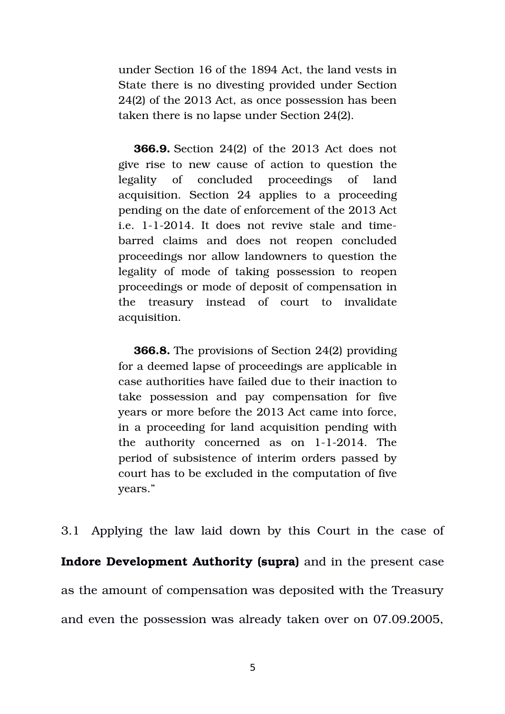under Section 16 of the 1894 Act, the land vests in State there is no divesting provided under Section 24(2) of the 2013 Act, as once possession has been taken there is no lapse under Section 24(2).

**366.9.** Section 24(2) of the 2013 Act does not give rise to new cause of action to question the legality of concluded proceedings of land acquisition. Section 24 applies to a proceeding pending on the date of enforcement of the 2013 Act i.e.  $1-1-2014$ . It does not revive stale and timebarred claims and does not reopen concluded proceedings nor allow landowners to question the legality of mode of taking possession to reopen proceedings or mode of deposit of compensation in the treasury instead of court to invalidate acquisition.

**366.8.** The provisions of Section 24(2) providing for a deemed lapse of proceedings are applicable in case authorities have failed due to their inaction to take possession and pay compensation for five years or more before the 2013 Act came into force, in a proceeding for land acquisition pending with the authority concerned as on  $1-1-2014$ . The period of subsistence of interim orders passed by court has to be excluded in the computation of five years."

3.1 Applying the law laid down by this Court in the case of **Indore Development Authority (supra)** and in the present case as the amount of compensation was deposited with the Treasury and even the possession was already taken over on 07.09.2005,